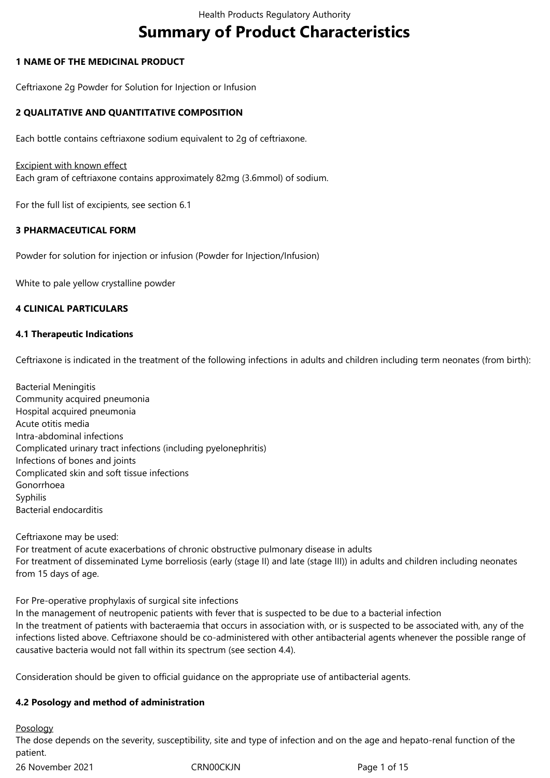# **Summary of Product Characteristics**

## **1 NAME OF THE MEDICINAL PRODUCT**

Ceftriaxone 2g Powder for Solution for Injection or Infusion

## **2 QUALITATIVE AND QUANTITATIVE COMPOSITION**

Each bottle contains ceftriaxone sodium equivalent to 2g of ceftriaxone.

#### **Excipient with known effect**

Each gram of ceftriaxone contains approximately 82mg (3.6mmol) of sodium.

For the full list of excipients, see section 6.1

## **3 PHARMACEUTICAL FORM**

Powder for solution for injection or infusion (Powder for Injection/Infusion)

White to pale yellow crystalline powder

## **4 CLINICAL PARTICULARS**

## **4.1 Therapeutic Indications**

Ceftriaxone is indicated in the treatment of the following infections in adults and children including term neonates (from birth):

Bacterial Meningitis Community acquired pneumonia Hospital acquired pneumonia Acute otitis media Intra-abdominal infections Complicated urinary tract infections (including pyelonephritis) Infections of bones and joints Complicated skin and soft tissue infections Gonorrhoea Syphilis Bacterial endocarditis

Ceftriaxone may be used:

For treatment of acute exacerbations of chronic obstructive pulmonary disease in adults For treatment of disseminated Lyme borreliosis (early (stage II) and late (stage III)) in adults and children including neonates from 15 days of age.

#### For Pre-operative prophylaxis of surgical site infections

In the management of neutropenic patients with fever that is suspected to be due to a bacterial infection In the treatment of patients with bacteraemia that occurs in association with, or is suspected to be associated with, any of the infections listed above. Ceftriaxone should be co-administered with other antibacterial agents whenever the possible range of causative bacteria would not fall within its spectrum (see section 4.4).

Consideration should be given to official guidance on the appropriate use of antibacterial agents.

## **4.2 Posology and method of administration**

Posology

The dose depends on the severity, susceptibility, site and type of infection and on the age and hepato-renal function of the patient.

26 November 2021 CRN00CKJN Page 1 of 15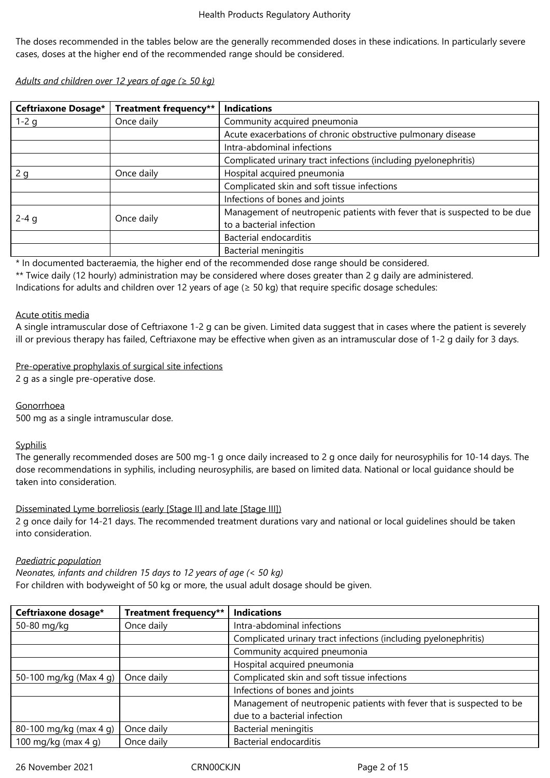The doses recommended in the tables below are the generally recommended doses in these indications. In particularly severe cases, doses at the higher end of the recommended range should be considered.

*Adults and children over 12 years of age (≥ 50 kg)*

| <b>Ceftriaxone Dosage*</b> | <b>Treatment frequency**</b> | <b>Indications</b>                                                                                    |  |  |
|----------------------------|------------------------------|-------------------------------------------------------------------------------------------------------|--|--|
| 1-2 g                      | Once daily                   | Community acquired pneumonia                                                                          |  |  |
|                            |                              | Acute exacerbations of chronic obstructive pulmonary disease                                          |  |  |
|                            |                              | Intra-abdominal infections                                                                            |  |  |
|                            |                              | Complicated urinary tract infections (including pyelonephritis)                                       |  |  |
| 2q                         | Once daily                   | Hospital acquired pneumonia                                                                           |  |  |
|                            |                              | Complicated skin and soft tissue infections                                                           |  |  |
|                            |                              | Infections of bones and joints                                                                        |  |  |
| $2 - 4 g$                  | Once daily                   | Management of neutropenic patients with fever that is suspected to be due<br>to a bacterial infection |  |  |
|                            |                              | Bacterial endocarditis                                                                                |  |  |
|                            |                              | <b>Bacterial meningitis</b>                                                                           |  |  |

\* In documented bacteraemia, the higher end of the recommended dose range should be considered.

\*\* Twice daily (12 hourly) administration may be considered where doses greater than 2 g daily are administered.

Indications for adults and children over 12 years of age ( $\geq$  50 kg) that require specific dosage schedules:

## Acute otitis media

A single intramuscular dose of Ceftriaxone 1-2 g can be given. Limited data suggest that in cases where the patient is severely ill or previous therapy has failed, Ceftriaxone may be effective when given as an intramuscular dose of 1-2 g daily for 3 days.

## Pre-operative prophylaxis of surgical site infections

2 g as a single pre-operative dose.

## Gonorrhoea

500 mg as a single intramuscular dose.

## **Syphilis**

The generally recommended doses are 500 mg-1 g once daily increased to 2 g once daily for neurosyphilis for 10-14 days. The dose recommendations in syphilis, including neurosyphilis, are based on limited data. National or local guidance should be taken into consideration.

## Disseminated Lyme borreliosis (early [Stage II] and late [Stage III])

2 g once daily for 14-21 days. The recommended treatment durations vary and national or local guidelines should be taken into consideration.

#### *Paediatric population*

*Neonates, infants and children 15 days to 12 years of age (< 50 kg)* For children with bodyweight of 50 kg or more, the usual adult dosage should be given.

| Ceftriaxone dosage*    | Treatment frequency** | <b>Indications</b>                                                    |
|------------------------|-----------------------|-----------------------------------------------------------------------|
| 50-80 mg/kg            | Once daily            | Intra-abdominal infections                                            |
|                        |                       | Complicated urinary tract infections (including pyelonephritis)       |
|                        |                       | Community acquired pneumonia                                          |
|                        |                       | Hospital acquired pneumonia                                           |
| 50-100 mg/kg (Max 4 g) | Once daily            | Complicated skin and soft tissue infections                           |
|                        |                       | Infections of bones and joints                                        |
|                        |                       | Management of neutropenic patients with fever that is suspected to be |
|                        |                       | due to a bacterial infection                                          |
| 80-100 mg/kg (max 4 g) | Once daily            | Bacterial meningitis                                                  |
| 100 mg/kg (max 4 g)    | Once daily            | Bacterial endocarditis                                                |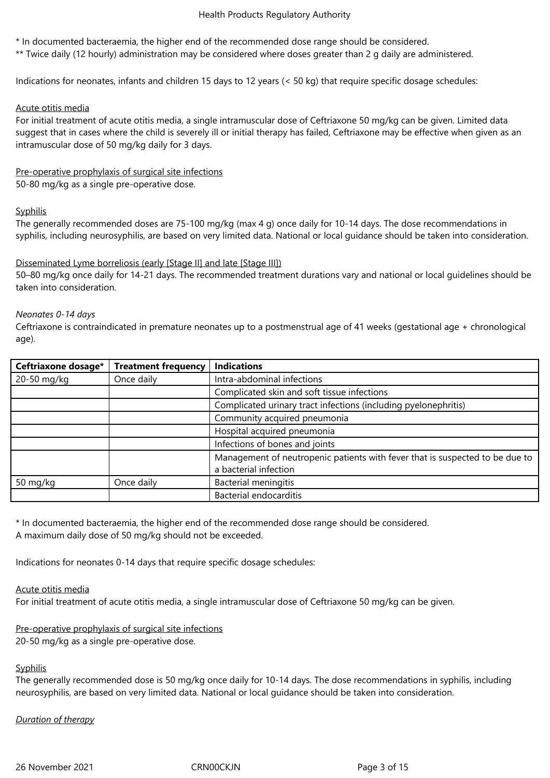\* In documented bacteraemia, the higher end of the recommended dose range should be considered.

\*\* Twice daily (12 hourly) administration may be considered where doses greater than 2 g daily are administered.

Indications for neonates, infants and children 15 days to 12 years (< 50 kg) that require specific dosage schedules:

#### Acute otitis media

For initial treatment of acute otitis media, a single intramuscular dose of Ceftriaxone 50 mg/kg can be given. Limited data suggest that in cases where the child is severely ill or initial therapy has failed, Ceftriaxone may be effective when given as an intramuscular dose of 50 mg/kg daily for 3 days.

Pre-operative prophylaxis of surgical site infections

50-80 mg/kg as a single pre-operative dose.

## **Syphilis**

The generally recommended doses are 75-100 mg/kg (max 4 g) once daily for 10-14 days. The dose recommendations in syphilis, including neurosyphilis, are based on very limited data. National or local guidance should be taken into consideration.

## Disseminated Lyme borreliosis (early [Stage II] and late [Stage III])

50–80 mg/kg once daily for 14-21 days. The recommended treatment durations vary and national or local guidelines should be taken into consideration.

#### *Neonates 0-14 days*

Ceftriaxone is contraindicated in premature neonates up to a postmenstrual age of 41 weeks (gestational age + chronological age).

| Ceftriaxone dosage* | <b>Treatment frequency</b> | <b>Indications</b>                                                           |  |  |
|---------------------|----------------------------|------------------------------------------------------------------------------|--|--|
| 20-50 mg/kg         | Once daily                 | Intra-abdominal infections                                                   |  |  |
|                     |                            | Complicated skin and soft tissue infections                                  |  |  |
|                     |                            | Complicated urinary tract infections (including pyelonephritis)              |  |  |
|                     |                            | Community acquired pneumonia                                                 |  |  |
|                     |                            | Hospital acquired pneumonia                                                  |  |  |
|                     |                            | Infections of bones and joints                                               |  |  |
|                     |                            | Management of neutropenic patients with fever that is suspected to be due to |  |  |
|                     |                            | a bacterial infection                                                        |  |  |
| 50 mg/kg            | Once daily                 | <b>Bacterial meningitis</b>                                                  |  |  |
|                     |                            | <b>Bacterial endocarditis</b>                                                |  |  |

\* In documented bacteraemia, the higher end of the recommended dose range should be considered. A maximum daily dose of 50 mg/kg should not be exceeded.

Indications for neonates 0-14 days that require specific dosage schedules:

#### Acute otitis media

For initial treatment of acute otitis media, a single intramuscular dose of Ceftriaxone 50 mg/kg can be given.

## Pre-operative prophylaxis of surgical site infections

20-50 mg/kg as a single pre-operative dose.

## Syphilis

The generally recommended dose is 50 mg/kg once daily for 10-14 days. The dose recommendations in syphilis, including neurosyphilis, are based on very limited data. National or local guidance should be taken into consideration.

#### *Duration of therapy*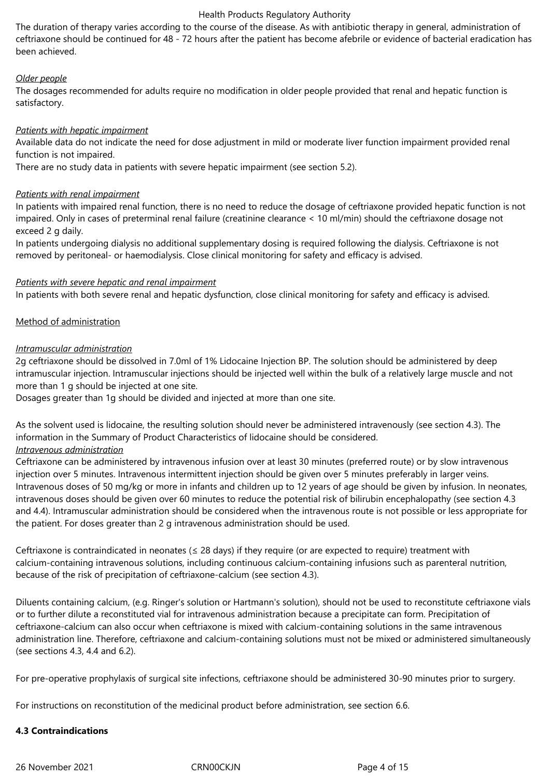The duration of therapy varies according to the course of the disease. As with antibiotic therapy in general, administration of ceftriaxone should be continued for 48 - 72 hours after the patient has become afebrile or evidence of bacterial eradication has been achieved.

## *Older people*

The dosages recommended for adults require no modification in older people provided that renal and hepatic function is satisfactory.

## *Patients with hepatic impairment*

Available data do not indicate the need for dose adjustment in mild or moderate liver function impairment provided renal function is not impaired.

There are no study data in patients with severe hepatic impairment (see section 5.2).

#### *Patients with renal impairment*

In patients with impaired renal function, there is no need to reduce the dosage of ceftriaxone provided hepatic function is not impaired. Only in cases of preterminal renal failure (creatinine clearance < 10 ml/min) should the ceftriaxone dosage not exceed 2 g daily.

In patients undergoing dialysis no additional supplementary dosing is required following the dialysis. Ceftriaxone is not removed by peritoneal- or haemodialysis. Close clinical monitoring for safety and efficacy is advised.

## *Patients with severe hepatic and renal impairment*

In patients with both severe renal and hepatic dysfunction, close clinical monitoring for safety and efficacy is advised.

## Method of administration

## *Intramuscular administration*

2g ceftriaxone should be dissolved in 7.0ml of 1% Lidocaine Injection BP. The solution should be administered by deep intramuscular injection. Intramuscular injections should be injected well within the bulk of a relatively large muscle and not more than 1 g should be injected at one site.

Dosages greater than 1g should be divided and injected at more than one site.

As the solvent used is lidocaine, the resulting solution should never be administered intravenously (see section 4.3). The information in the Summary of Product Characteristics of lidocaine should be considered.

## *Intravenous administration*

Ceftriaxone can be administered by intravenous infusion over at least 30 minutes (preferred route) or by slow intravenous injection over 5 minutes. Intravenous intermittent injection should be given over 5 minutes preferably in larger veins. Intravenous doses of 50 mg/kg or more in infants and children up to 12 years of age should be given by infusion. In neonates, intravenous doses should be given over 60 minutes to reduce the potential risk of bilirubin encephalopathy (see section 4.3 and 4.4). Intramuscular administration should be considered when the intravenous route is not possible or less appropriate for the patient. For doses greater than 2 g intravenous administration should be used.

Ceftriaxone is contraindicated in neonates ( $\leq$  28 days) if they require (or are expected to require) treatment with calcium-containing intravenous solutions, including continuous calcium-containing infusions such as parenteral nutrition, because of the risk of precipitation of ceftriaxone-calcium (see section 4.3).

Diluents containing calcium, (e.g. Ringer's solution or Hartmann's solution), should not be used to reconstitute ceftriaxone vials or to further dilute a reconstituted vial for intravenous administration because a precipitate can form. Precipitation of ceftriaxone-calcium can also occur when ceftriaxone is mixed with calcium-containing solutions in the same intravenous administration line. Therefore, ceftriaxone and calcium-containing solutions must not be mixed or administered simultaneously (see sections 4.3, 4.4 and 6.2).

For pre-operative prophylaxis of surgical site infections, ceftriaxone should be administered 30-90 minutes prior to surgery.

For instructions on reconstitution of the medicinal product before administration, see section 6.6.

#### **4.3 Contraindications**

26 November 2021 CRN00CKJN Page 4 of 15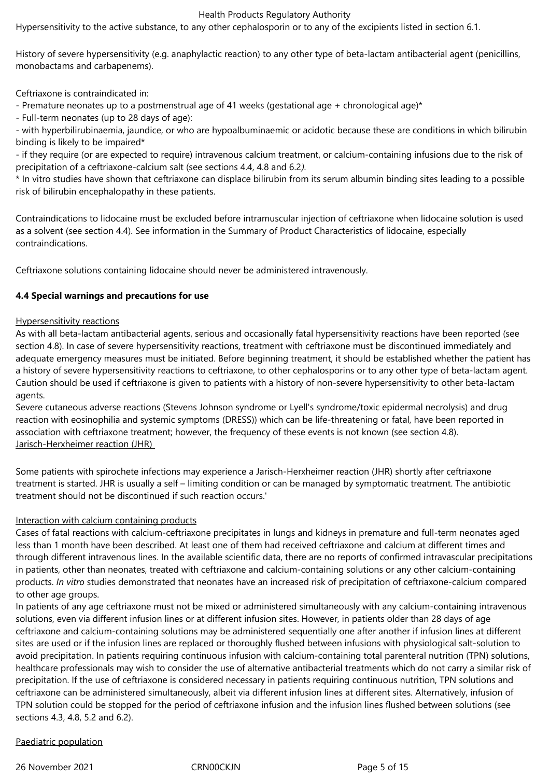Hypersensitivity to the active substance, to any other cephalosporin or to any of the excipients listed in section 6.1.

History of severe hypersensitivity (e.g. anaphylactic reaction) to any other type of beta-lactam antibacterial agent (penicillins, monobactams and carbapenems).

Ceftriaxone is contraindicated in:

- Premature neonates up to a postmenstrual age of 41 weeks (gestational age + chronological age)\*

- Full-term neonates (up to 28 days of age):

- with hyperbilirubinaemia, jaundice, or who are hypoalbuminaemic or acidotic because these are conditions in which bilirubin binding is likely to be impaired\*

- if they require (or are expected to require) intravenous calcium treatment, or calcium-containing infusions due to the risk of precipitation of a ceftriaxone-calcium salt (see sections 4.4, 4.8 and 6.2*).*

\* In vitro studies have shown that ceftriaxone can displace bilirubin from its serum albumin binding sites leading to a possible risk of bilirubin encephalopathy in these patients.

Contraindications to lidocaine must be excluded before intramuscular injection of ceftriaxone when lidocaine solution is used as a solvent (see section 4.4). See information in the Summary of Product Characteristics of lidocaine, especially contraindications.

Ceftriaxone solutions containing lidocaine should never be administered intravenously.

## **4.4 Special warnings and precautions for use**

#### Hypersensitivity reactions

As with all beta-lactam antibacterial agents, serious and occasionally fatal hypersensitivity reactions have been reported (see section 4.8). In case of severe hypersensitivity reactions, treatment with ceftriaxone must be discontinued immediately and adequate emergency measures must be initiated. Before beginning treatment, it should be established whether the patient has a history of severe hypersensitivity reactions to ceftriaxone, to other cephalosporins or to any other type of beta-lactam agent. Caution should be used if ceftriaxone is given to patients with a history of non-severe hypersensitivity to other beta-lactam agents.

Severe cutaneous adverse reactions (Stevens Johnson syndrome or Lyell's syndrome/toxic epidermal necrolysis) and drug reaction with eosinophilia and systemic symptoms (DRESS)) which can be life-threatening or fatal, have been reported in association with ceftriaxone treatment; however, the frequency of these events is not known (see section 4.8). Jarisch-Herxheimer reaction (JHR)

Some patients with spirochete infections may experience a Jarisch-Herxheimer reaction (JHR) shortly after ceftriaxone treatment is started. JHR is usually a self – limiting condition or can be managed by symptomatic treatment. The antibiotic treatment should not be discontinued if such reaction occurs.'

## Interaction with calcium containing products

Cases of fatal reactions with calcium-ceftriaxone precipitates in lungs and kidneys in premature and full-term neonates aged less than 1 month have been described. At least one of them had received ceftriaxone and calcium at different times and through different intravenous lines. In the available scientific data, there are no reports of confirmed intravascular precipitations in patients, other than neonates, treated with ceftriaxone and calcium-containing solutions or any other calcium-containing products. *In vitro* studies demonstrated that neonates have an increased risk of precipitation of ceftriaxone-calcium compared to other age groups.

In patients of any age ceftriaxone must not be mixed or administered simultaneously with any calcium-containing intravenous solutions, even via different infusion lines or at different infusion sites. However, in patients older than 28 days of age ceftriaxone and calcium-containing solutions may be administered sequentially one after another if infusion lines at different sites are used or if the infusion lines are replaced or thoroughly flushed between infusions with physiological salt-solution to avoid precipitation. In patients requiring continuous infusion with calcium-containing total parenteral nutrition (TPN) solutions, healthcare professionals may wish to consider the use of alternative antibacterial treatments which do not carry a similar risk of precipitation. If the use of ceftriaxone is considered necessary in patients requiring continuous nutrition, TPN solutions and ceftriaxone can be administered simultaneously, albeit via different infusion lines at different sites. Alternatively, infusion of TPN solution could be stopped for the period of ceftriaxone infusion and the infusion lines flushed between solutions (see sections 4.3, 4.8, 5.2 and 6.2).

## Paediatric population

26 November 2021 CRN00CKJN Page 5 of 15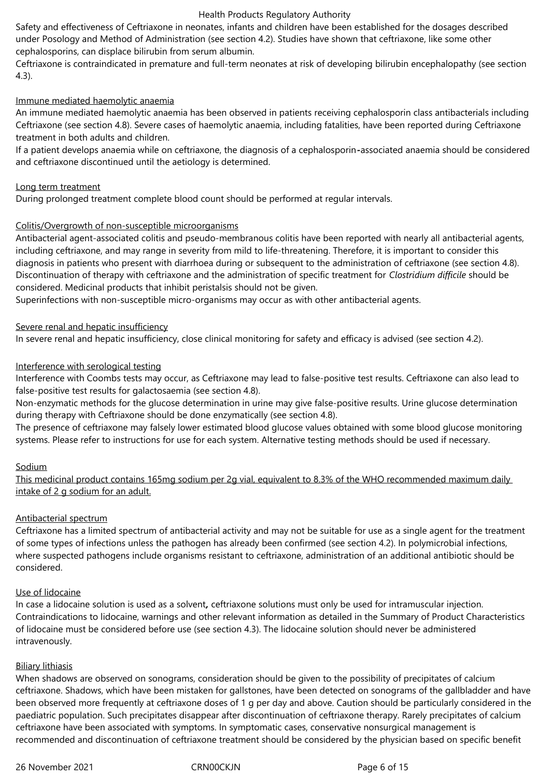Safety and effectiveness of Ceftriaxone in neonates, infants and children have been established for the dosages described under Posology and Method of Administration (see section 4.2). Studies have shown that ceftriaxone, like some other cephalosporins, can displace bilirubin from serum albumin.

Ceftriaxone is contraindicated in premature and full-term neonates at risk of developing bilirubin encephalopathy (see section 4.3).

#### Immune mediated haemolytic anaemia

An immune mediated haemolytic anaemia has been observed in patients receiving cephalosporin class antibacterials including Ceftriaxone (see section 4.8). Severe cases of haemolytic anaemia, including fatalities, have been reported during Ceftriaxone treatment in both adults and children.

If a patient develops anaemia while on ceftriaxone, the diagnosis of a cephalosporin*-*associated anaemia should be considered and ceftriaxone discontinued until the aetiology is determined.

#### Long term treatment

During prolonged treatment complete blood count should be performed at regular intervals.

## Colitis/Overgrowth of non-susceptible microorganisms

Antibacterial agent-associated colitis and pseudo-membranous colitis have been reported with nearly all antibacterial agents, including ceftriaxone, and may range in severity from mild to life-threatening. Therefore, it is important to consider this diagnosis in patients who present with diarrhoea during or subsequent to the administration of ceftriaxone (see section 4.8). Discontinuation of therapy with ceftriaxone and the administration of specific treatment for *Clostridium difficile* should be considered. Medicinal products that inhibit peristalsis should not be given.

Superinfections with non-susceptible micro-organisms may occur as with other antibacterial agents.

## Severe renal and hepatic insufficiency

In severe renal and hepatic insufficiency, close clinical monitoring for safety and efficacy is advised (see section 4.2).

## Interference with serological testing

Interference with Coombs tests may occur, as Ceftriaxone may lead to false-positive test results. Ceftriaxone can also lead to false-positive test results for galactosaemia (see section 4.8).

Non-enzymatic methods for the glucose determination in urine may give false-positive results. Urine glucose determination during therapy with Ceftriaxone should be done enzymatically (see section 4.8).

The presence of ceftriaxone may falsely lower estimated blood glucose values obtained with some blood glucose monitoring systems. Please refer to instructions for use for each system. Alternative testing methods should be used if necessary.

#### Sodium

This medicinal product contains 165mg sodium per 2g vial, equivalent to 8.3% of the WHO recommended maximum daily intake of 2 g sodium for an adult.

#### Antibacterial spectrum

Ceftriaxone has a limited spectrum of antibacterial activity and may not be suitable for use as a single agent for the treatment of some types of infections unless the pathogen has already been confirmed (see section 4.2). In polymicrobial infections, where suspected pathogens include organisms resistant to ceftriaxone, administration of an additional antibiotic should be considered.

#### Use of lidocaine

In case a lidocaine solution is used as a solvent*,* ceftriaxone solutions must only be used for intramuscular injection. Contraindications to lidocaine, warnings and other relevant information as detailed in the Summary of Product Characteristics of lidocaine must be considered before use (see section 4.3). The lidocaine solution should never be administered intravenously.

#### **Biliary lithiasis**

When shadows are observed on sonograms, consideration should be given to the possibility of precipitates of calcium ceftriaxone. Shadows, which have been mistaken for gallstones, have been detected on sonograms of the gallbladder and have been observed more frequently at ceftriaxone doses of 1 g per day and above. Caution should be particularly considered in the paediatric population. Such precipitates disappear after discontinuation of ceftriaxone therapy. Rarely precipitates of calcium ceftriaxone have been associated with symptoms. In symptomatic cases, conservative nonsurgical management is recommended and discontinuation of ceftriaxone treatment should be considered by the physician based on specific benefit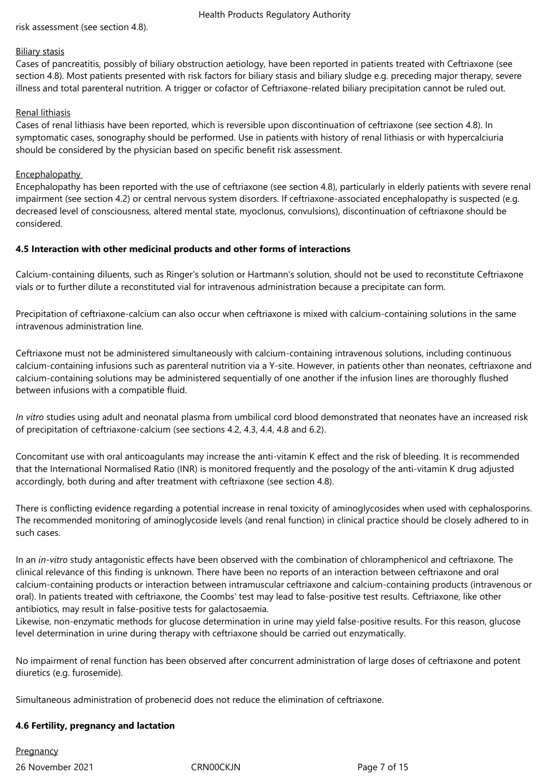risk assessment (see section 4.8).

#### Biliary stasis

Cases of pancreatitis, possibly of biliary obstruction aetiology, have been reported in patients treated with Ceftriaxone (see section 4.8). Most patients presented with risk factors for biliary stasis and biliary sludge e.g. preceding major therapy, severe illness and total parenteral nutrition. A trigger or cofactor of Ceftriaxone-related biliary precipitation cannot be ruled out.

#### Renal lithiasis

Cases of renal lithiasis have been reported, which is reversible upon discontinuation of ceftriaxone (see section 4.8). In symptomatic cases, sonography should be performed. Use in patients with history of renal lithiasis or with hypercalciuria should be considered by the physician based on specific benefit risk assessment.

## **Encephalopathy**

Encephalopathy has been reported with the use of ceftriaxone (see section 4.8), particularly in elderly patients with severe renal impairment (see section 4.2) or central nervous system disorders. If ceftriaxone-associated encephalopathy is suspected (e.g. decreased level of consciousness, altered mental state, myoclonus, convulsions), discontinuation of ceftriaxone should be considered.

## **4.5 Interaction with other medicinal products and other forms of interactions**

Calcium-containing diluents, such as Ringer's solution or Hartmann's solution, should not be used to reconstitute Ceftriaxone vials or to further dilute a reconstituted vial for intravenous administration because a precipitate can form.

Precipitation of ceftriaxone-calcium can also occur when ceftriaxone is mixed with calcium-containing solutions in the same intravenous administration line.

Ceftriaxone must not be administered simultaneously with calcium-containing intravenous solutions, including continuous calcium-containing infusions such as parenteral nutrition via a Y-site. However, in patients other than neonates, ceftriaxone and calcium-containing solutions may be administered sequentially of one another if the infusion lines are thoroughly flushed between infusions with a compatible fluid.

*In vitro* studies using adult and neonatal plasma from umbilical cord blood demonstrated that neonates have an increased risk of precipitation of ceftriaxone-calcium (see sections 4.2, 4.3, 4.4, 4.8 and 6.2).

Concomitant use with oral anticoagulants may increase the anti-vitamin K effect and the risk of bleeding. It is recommended that the International Normalised Ratio (INR) is monitored frequently and the posology of the anti-vitamin K drug adjusted accordingly, both during and after treatment with ceftriaxone (see section 4.8).

There is conflicting evidence regarding a potential increase in renal toxicity of aminoglycosides when used with cephalosporins. The recommended monitoring of aminoglycoside levels (and renal function) in clinical practice should be closely adhered to in such cases.

In an *in-vitro* study antagonistic effects have been observed with the combination of chloramphenicol and ceftriaxone. The clinical relevance of this finding is unknown. There have been no reports of an interaction between ceftriaxone and oral calcium-containing products or interaction between intramuscular ceftriaxone and calcium-containing products (intravenous or oral). In patients treated with ceftriaxone, the Coombs' test may lead to false-positive test results. Ceftriaxone, like other antibiotics, may result in false-positive tests for galactosaemia.

Likewise, non-enzymatic methods for glucose determination in urine may yield false-positive results. For this reason, glucose level determination in urine during therapy with ceftriaxone should be carried out enzymatically.

No impairment of renal function has been observed after concurrent administration of large doses of ceftriaxone and potent diuretics (e.g. furosemide).

Simultaneous administration of probenecid does not reduce the elimination of ceftriaxone.

#### **4.6 Fertility, pregnancy and lactation**

26 November 2021 CRN00CKJN Page 7 of 15 **Pregnancy**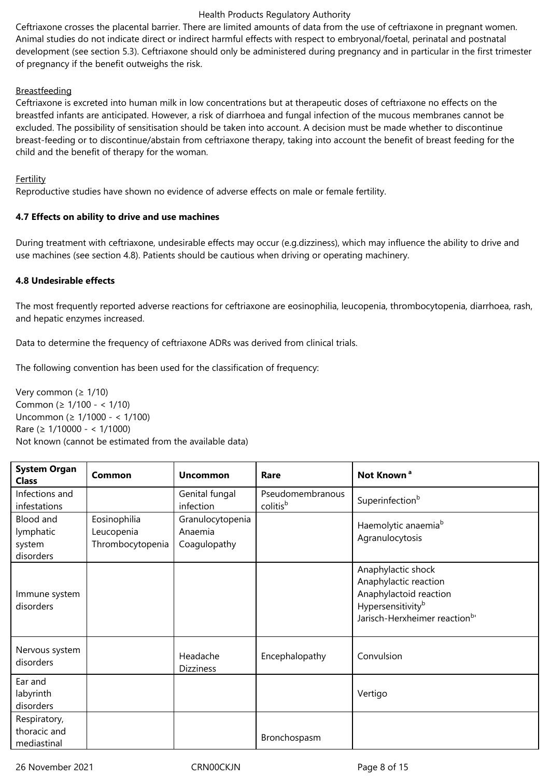Ceftriaxone crosses the placental barrier. There are limited amounts of data from the use of ceftriaxone in pregnant women. Animal studies do not indicate direct or indirect harmful effects with respect to embryonal/foetal, perinatal and postnatal development (see section 5.3). Ceftriaxone should only be administered during pregnancy and in particular in the first trimester of pregnancy if the benefit outweighs the risk.

## Breastfeeding

Ceftriaxone is excreted into human milk in low concentrations but at therapeutic doses of ceftriaxone no effects on the breastfed infants are anticipated. However, a risk of diarrhoea and fungal infection of the mucous membranes cannot be excluded. The possibility of sensitisation should be taken into account. A decision must be made whether to discontinue breast-feeding or to discontinue/abstain from ceftriaxone therapy, taking into account the benefit of breast feeding for the child and the benefit of therapy for the woman.

#### Fertility

Reproductive studies have shown no evidence of adverse effects on male or female fertility.

## **4.7 Effects on ability to drive and use machines**

During treatment with ceftriaxone, undesirable effects may occur (e.g.dizziness), which may influence the ability to drive and use machines (see section 4.8). Patients should be cautious when driving or operating machinery.

## **4.8 Undesirable effects**

The most frequently reported adverse reactions for ceftriaxone are eosinophilia, leucopenia, thrombocytopenia, diarrhoea, rash, and hepatic enzymes increased.

Data to determine the frequency of ceftriaxone ADRs was derived from clinical trials.

The following convention has been used for the classification of frequency:

Very common ( $\geq 1/10$ ) Common (≥ 1/100 - < 1/10) Uncommon (≥ 1/1000 - < 1/100) Rare (≥ 1/10000 - < 1/1000) Not known (cannot be estimated from the available data)

| <b>System Organ</b><br><b>Class</b>           | Common                                         | <b>Uncommon</b>                             | Rare                         | Not Known <sup>a</sup>                                                                                                                               |
|-----------------------------------------------|------------------------------------------------|---------------------------------------------|------------------------------|------------------------------------------------------------------------------------------------------------------------------------------------------|
| Infections and<br>infestations                |                                                | Genital fungal<br>infection                 | Pseudomembranous<br>colitisb | Superinfection <sup>b</sup>                                                                                                                          |
| Blood and<br>lymphatic<br>system<br>disorders | Eosinophilia<br>Leucopenia<br>Thrombocytopenia | Granulocytopenia<br>Anaemia<br>Coagulopathy |                              | Haemolytic anaemia <sup>b</sup><br>Agranulocytosis                                                                                                   |
| Immune system<br>disorders                    |                                                |                                             |                              | Anaphylactic shock<br>Anaphylactic reaction<br>Anaphylactoid reaction<br>Hypersensitivity <sup>b</sup><br>Jarisch-Herxheimer reaction <sup>b</sup> ' |
| Nervous system<br>disorders                   |                                                | Headache<br><b>Dizziness</b>                | Encephalopathy               | Convulsion                                                                                                                                           |
| Ear and<br>labyrinth<br>disorders             |                                                |                                             |                              | Vertigo                                                                                                                                              |
| Respiratory,<br>thoracic and<br>mediastinal   |                                                |                                             | Bronchospasm                 |                                                                                                                                                      |

26 November 2021 CRN00CKJN Page 8 of 15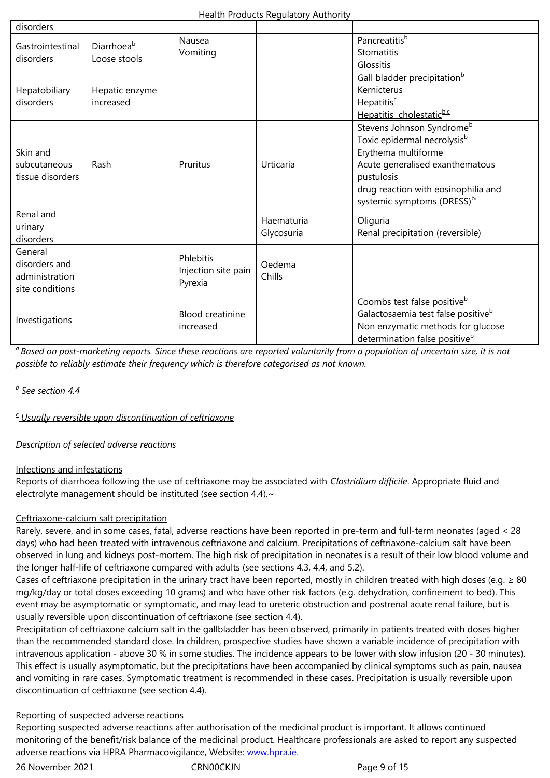| <del>uastromtesunal</del><br>disorders | Diarmoea<br>Loose stools | Vomiting                |            | Stomatitis                                     |
|----------------------------------------|--------------------------|-------------------------|------------|------------------------------------------------|
|                                        |                          |                         |            | Glossitis                                      |
|                                        |                          |                         |            | Gall bladder precipitation <sup>b</sup>        |
| Hepatobiliary                          | Hepatic enzyme           |                         |            | Kernicterus                                    |
| disorders                              | increased                |                         |            | Hepatitis <sup>c</sup>                         |
|                                        |                          |                         |            | Hepatitis cholestaticb.c                       |
|                                        |                          |                         |            | Stevens Johnson Syndrome <sup>b</sup>          |
|                                        |                          |                         |            | Toxic epidermal necrolysis <sup>b</sup>        |
| Skin and                               |                          |                         |            | Erythema multiforme                            |
| subcutaneous                           | Rash                     | Pruritus                | Urticaria  | Acute generalised exanthematous                |
| tissue disorders                       |                          |                         |            | pustulosis                                     |
|                                        |                          |                         |            | drug reaction with eosinophilia and            |
|                                        |                          |                         |            | systemic symptoms (DRESS) <sup>b</sup>         |
| Renal and                              |                          |                         | Haematuria | Oliguria                                       |
| urinary                                |                          |                         | Glycosuria | Renal precipitation (reversible)               |
| disorders                              |                          |                         |            |                                                |
| General                                |                          | Phlebitis               |            |                                                |
| disorders and                          |                          | Injection site pain     | Oedema     |                                                |
| administration                         |                          | Pyrexia                 | Chills     |                                                |
| site conditions                        |                          |                         |            |                                                |
|                                        |                          |                         |            | Coombs test false positive <sup>b</sup>        |
| Investigations                         |                          | <b>Blood creatinine</b> |            | Galactosaemia test false positive <sup>b</sup> |
|                                        |                          | increased               |            | Non enzymatic methods for glucose              |
|                                        |                          |                         |            | determination false positive <sup>b</sup>      |

*<sup>a</sup>Based on post-marketing reports. Since these reactions are reported voluntarily from a population of uncertain size, it is not possible to reliably estimate their frequency which is therefore categorised as not known.*

## *b See section 4.4*

*c Usually reversible upon discontinuation of ceftriaxone*

*Description of selected adverse reactions*

## Infections and infestations

Reports of diarrhoea following the use of ceftriaxone may be associated with *Clostridium difficile*. Appropriate fluid and electrolyte management should be instituted (see section 4.4).~

## Ceftriaxone-calcium salt precipitation

Rarely, severe, and in some cases, fatal, adverse reactions have been reported in pre-term and full-term neonates (aged < 28 days) who had been treated with intravenous ceftriaxone and calcium. Precipitations of ceftriaxone-calcium salt have been observed in lung and kidneys post-mortem. The high risk of precipitation in neonates is a result of their low blood volume and the longer half-life of ceftriaxone compared with adults (see sections 4.3, 4.4, and 5.2).

Cases of ceftriaxone precipitation in the urinary tract have been reported, mostly in children treated with high doses (e.g.  $\geq 80$ mg/kg/day or total doses exceeding 10 grams) and who have other risk factors (e.g. dehydration, confinement to bed). This event may be asymptomatic or symptomatic, and may lead to ureteric obstruction and postrenal acute renal failure, but is usually reversible upon discontinuation of ceftriaxone (see section 4.4).

Precipitation of ceftriaxone calcium salt in the gallbladder has been observed, primarily in patients treated with doses higher than the recommended standard dose. In children, prospective studies have shown a variable incidence of precipitation with intravenous application - above 30 % in some studies. The incidence appears to be lower with slow infusion (20 - 30 minutes). This effect is usually asymptomatic, but the precipitations have been accompanied by clinical symptoms such as pain, nausea and vomiting in rare cases. Symptomatic treatment is recommended in these cases. Precipitation is usually reversible upon discontinuation of ceftriaxone (see section 4.4).

## Reporting of suspected adverse reactions

Reporting suspected adverse reactions after authorisation of the medicinal product is important. It allows continued monitoring of the benefit/risk balance of the medicinal product. Healthcare professionals are asked to report any suspected adverse reactions via HPRA Pharmacovigilance, Website: www.hpra.ie.

26 November 2021 CRN00CKJN Page 9 of 15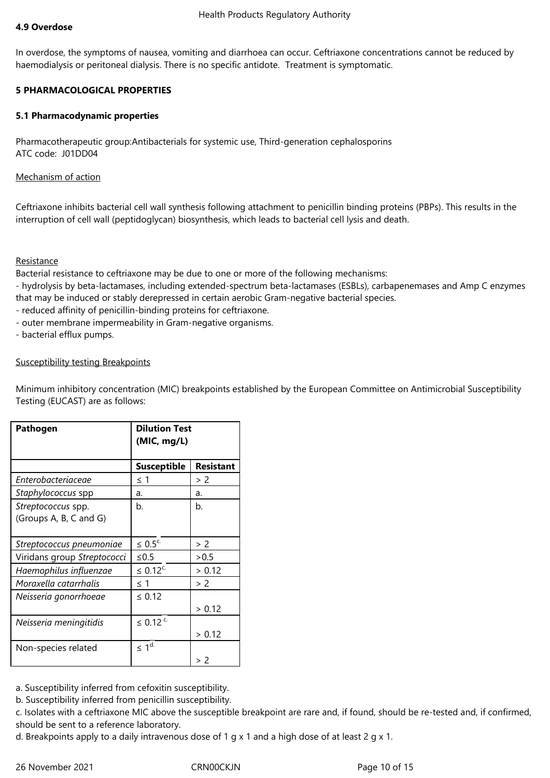#### **4.9 Overdose**

In overdose, the symptoms of nausea, vomiting and diarrhoea can occur. Ceftriaxone concentrations cannot be reduced by haemodialysis or peritoneal dialysis. There is no specific antidote. Treatment is symptomatic.

## **5 PHARMACOLOGICAL PROPERTIES**

#### **5.1 Pharmacodynamic properties**

Pharmacotherapeutic group:Antibacterials for systemic use, Third-generation cephalosporins ATC code: J01DD04

## Mechanism of action

Ceftriaxone inhibits bacterial cell wall synthesis following attachment to penicillin binding proteins (PBPs). This results in the interruption of cell wall (peptidoglycan) biosynthesis, which leads to bacterial cell lysis and death.

## Resistance

Bacterial resistance to ceftriaxone may be due to one or more of the following mechanisms:

- hydrolysis by beta-lactamases, including extended-spectrum beta-lactamases (ESBLs), carbapenemases and Amp C enzymes that may be induced or stably derepressed in certain aerobic Gram-negative bacterial species.

- reduced affinity of penicillin-binding proteins for ceftriaxone.
- outer membrane impermeability in Gram-negative organisms.
- bacterial efflux pumps.

## Susceptibility testing Breakpoints

Minimum inhibitory concentration (MIC) breakpoints established by the European Committee on Antimicrobial Susceptibility Testing (EUCAST) are as follows:

| Pathogen                                     | <b>Dilution Test</b><br>(MIC, mg/L) |                  |  |
|----------------------------------------------|-------------------------------------|------------------|--|
|                                              | <b>Susceptible</b>                  | <b>Resistant</b> |  |
| Enterobacteriaceae                           | ≤ 1                                 | > 2              |  |
| Staphylococcus spp                           | a.                                  | a.               |  |
| Streptococcus spp.<br>(Groups A, B, C and G) | b.                                  | b.               |  |
| Streptococcus pneumoniae                     | $\leq 0.5^{\circ}$                  | > 2              |  |
| Viridans group Streptococci                  | ≤ $0.5$                             | > 0.5            |  |
| Haemophilus influenzae                       | $\leq 0.12^{c}$                     | > 0.12           |  |
| Moraxella catarrhalis                        | ≤ 1                                 | > 2              |  |
| Neisseria gonorrhoeae                        | $\leq 0.12$                         | > 0.12           |  |
| Neisseria meningitidis                       | $\leq 0.12$ <sup>c.</sup>           | > 0.12           |  |
| Non-species related                          | $\leq 1^{d}$                        | > 2              |  |

a. Susceptibility inferred from cefoxitin susceptibility.

b. Susceptibility inferred from penicillin susceptibility.

c. Isolates with a ceftriaxone MIC above the susceptible breakpoint are rare and, if found, should be re-tested and, if confirmed, should be sent to a reference laboratory.

d. Breakpoints apply to a daily intravenous dose of 1 g x 1 and a high dose of at least 2 g x 1.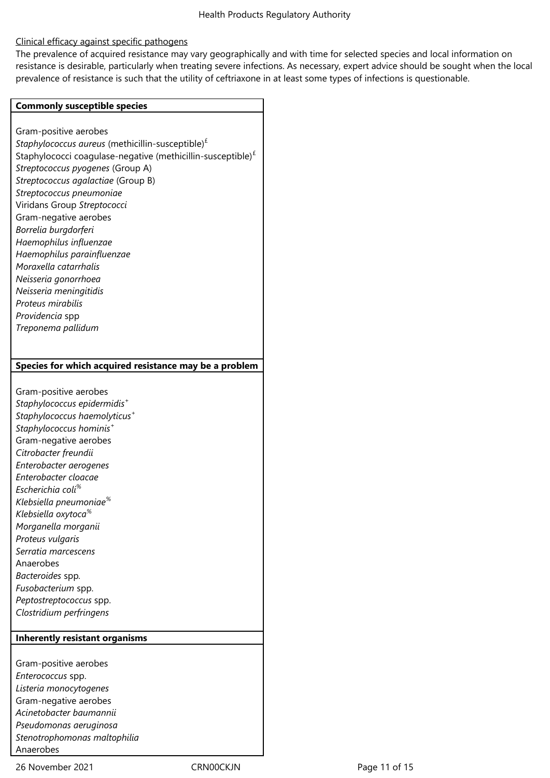## Clinical efficacy against specific pathogens

The prevalence of acquired resistance may vary geographically and with time for selected species and local information on resistance is desirable, particularly when treating severe infections. As necessary, expert advice should be sought when the local prevalence of resistance is such that the utility of ceftriaxone in at least some types of infections is questionable.

#### **Commonly susceptible species**

Gram-positive aerobes *Staphylococcus aureus* (methicillin-susceptible)£ Staphylococci coagulase-negative (methicillin-susceptible) $<sup>f</sup>$ </sup> *Streptococcus pyogenes* (Group A) *Streptococcus agalactiae* (Group B) *Streptococcus pneumoniae* Viridans Group *Streptococci* Gram-negative aerobes *Borrelia burgdorferi Haemophilus influenzae Haemophilus parainfluenzae Moraxella catarrhalis Neisseria gonorrhoea Neisseria meningitidis Proteus mirabilis Providencia* spp *Treponema pallidum* **Species for which acquired resistance may be a problem** Gram-positive aerobes *Staphylococcus epidermidis<sup>+</sup> Staphylococcus haemolyticus<sup>+</sup> Staphylococcus hominis<sup>+</sup>* Gram-negative aerobes *Citrobacter freundii Enterobacter aerogenes Enterobacter cloacae Escherichia coli% Klebsiella pneumoniae% Klebsiella oxytoca% Morganella morganii Proteus vulgaris Serratia marcescens* Anaerobes *Bacteroides* spp*. Fusobacterium* spp. *Peptostreptococcus* spp. *Clostridium perfringens* **Inherently resistant organisms** Gram-positive aerobes

*Enterococcus* spp. *Listeria monocytogenes* Gram-negative aerobes *Acinetobacter baumannii Pseudomonas aeruginosa Stenotrophomonas maltophilia* Anaerobes

26 November 2021 CRN00CKJN Page 11 of 15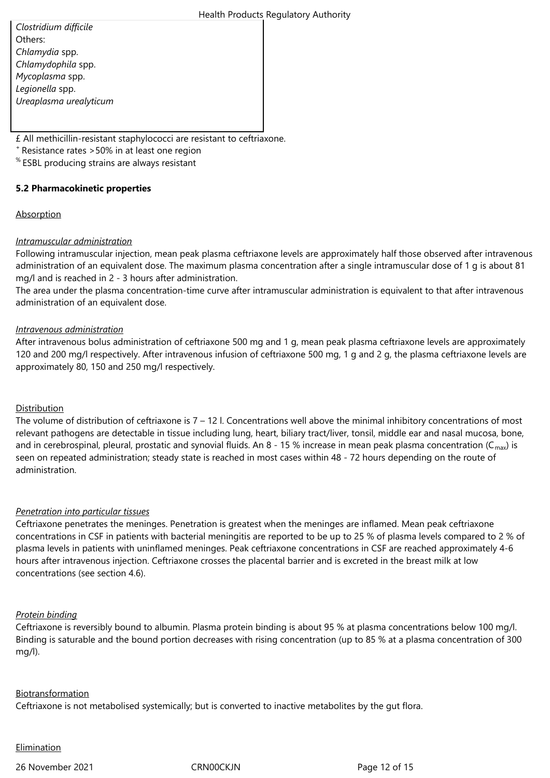*Clostridium difficile* Others: *Chlamydia* spp. *Chlamydophila* spp. *Mycoplasma* spp. *Legionella* spp. *Ureaplasma urealyticum*

£ All methicillin-resistant staphylococci are resistant to ceftriaxone.

<sup>+</sup>Resistance rates >50% in at least one region

% ESBL producing strains are always resistant

## **5.2 Pharmacokinetic properties**

#### **Absorption**

## *Intramuscular administration*

Following intramuscular injection, mean peak plasma ceftriaxone levels are approximately half those observed after intravenous administration of an equivalent dose. The maximum plasma concentration after a single intramuscular dose of 1 g is about 81 mg/l and is reached in 2 - 3 hours after administration.

The area under the plasma concentration-time curve after intramuscular administration is equivalent to that after intravenous administration of an equivalent dose.

## *Intravenous administration*

After intravenous bolus administration of ceftriaxone 500 mg and 1 g, mean peak plasma ceftriaxone levels are approximately 120 and 200 mg/l respectively. After intravenous infusion of ceftriaxone 500 mg, 1 g and 2 g, the plasma ceftriaxone levels are approximately 80, 150 and 250 mg/l respectively.

## Distribution

The volume of distribution of ceftriaxone is  $7 - 12$  l. Concentrations well above the minimal inhibitory concentrations of most relevant pathogens are detectable in tissue including lung, heart, biliary tract/liver, tonsil, middle ear and nasal mucosa, bone, and in cerebrospinal, pleural, prostatic and synovial fluids. An 8 - 15 % increase in mean peak plasma concentration ( $C_{\text{max}}$ ) is seen on repeated administration; steady state is reached in most cases within 48 - 72 hours depending on the route of administration.

#### *Penetration into particular tissues*

Ceftriaxone penetrates the meninges. Penetration is greatest when the meninges are inflamed. Mean peak ceftriaxone concentrations in CSF in patients with bacterial meningitis are reported to be up to 25 % of plasma levels compared to 2 % of plasma levels in patients with uninflamed meninges. Peak ceftriaxone concentrations in CSF are reached approximately 4-6 hours after intravenous injection. Ceftriaxone crosses the placental barrier and is excreted in the breast milk at low concentrations (see section 4.6).

#### *Protein binding*

Ceftriaxone is reversibly bound to albumin. Plasma protein binding is about 95 % at plasma concentrations below 100 mg/l. Binding is saturable and the bound portion decreases with rising concentration (up to 85 % at a plasma concentration of 300 mg/l).

#### Biotransformation

Ceftriaxone is not metabolised systemically; but is converted to inactive metabolites by the gut flora.

#### **Elimination**

26 November 2021 CRN00CKJN Page 12 of 15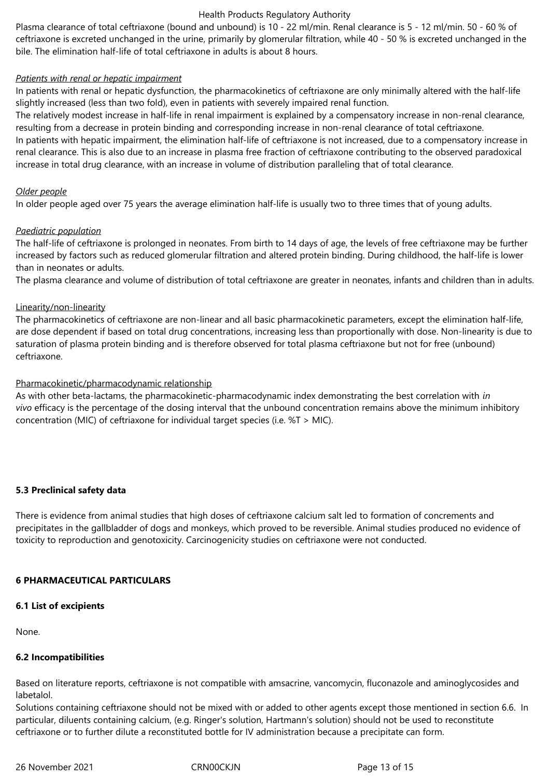Plasma clearance of total ceftriaxone (bound and unbound) is 10 - 22 ml/min. Renal clearance is 5 - 12 ml/min. 50 - 60 % of ceftriaxone is excreted unchanged in the urine, primarily by glomerular filtration, while 40 - 50 % is excreted unchanged in the bile. The elimination half-life of total ceftriaxone in adults is about 8 hours.

#### *Patients with renal or hepatic impairment*

In patients with renal or hepatic dysfunction, the pharmacokinetics of ceftriaxone are only minimally altered with the half-life slightly increased (less than two fold), even in patients with severely impaired renal function.

The relatively modest increase in half-life in renal impairment is explained by a compensatory increase in non-renal clearance, resulting from a decrease in protein binding and corresponding increase in non-renal clearance of total ceftriaxone.

In patients with hepatic impairment, the elimination half-life of ceftriaxone is not increased, due to a compensatory increase in renal clearance. This is also due to an increase in plasma free fraction of ceftriaxone contributing to the observed paradoxical increase in total drug clearance, with an increase in volume of distribution paralleling that of total clearance.

#### *Older people*

In older people aged over 75 years the average elimination half-life is usually two to three times that of young adults.

#### *Paediatric population*

The half-life of ceftriaxone is prolonged in neonates. From birth to 14 days of age, the levels of free ceftriaxone may be further increased by factors such as reduced glomerular filtration and altered protein binding. During childhood, the half-life is lower than in neonates or adults.

The plasma clearance and volume of distribution of total ceftriaxone are greater in neonates, infants and children than in adults.

## Linearity/non-linearity

The pharmacokinetics of ceftriaxone are non-linear and all basic pharmacokinetic parameters, except the elimination half-life, are dose dependent if based on total drug concentrations, increasing less than proportionally with dose. Non-linearity is due to saturation of plasma protein binding and is therefore observed for total plasma ceftriaxone but not for free (unbound) ceftriaxone.

## Pharmacokinetic/pharmacodynamic relationship

As with other beta-lactams, the pharmacokinetic-pharmacodynamic index demonstrating the best correlation with *in vivo* efficacy is the percentage of the dosing interval that the unbound concentration remains above the minimum inhibitory concentration (MIC) of ceftriaxone for individual target species (i.e. %T > MIC).

#### **5.3 Preclinical safety data**

There is evidence from animal studies that high doses of ceftriaxone calcium salt led to formation of concrements and precipitates in the gallbladder of dogs and monkeys, which proved to be reversible. Animal studies produced no evidence of toxicity to reproduction and genotoxicity. Carcinogenicity studies on ceftriaxone were not conducted.

## **6 PHARMACEUTICAL PARTICULARS**

#### **6.1 List of excipients**

None.

#### **6.2 Incompatibilities**

Based on literature reports, ceftriaxone is not compatible with amsacrine, vancomycin, fluconazole and aminoglycosides and labetalol.

Solutions containing ceftriaxone should not be mixed with or added to other agents except those mentioned in section 6.6. In particular, diluents containing calcium, (e.g. Ringer's solution, Hartmann's solution) should not be used to reconstitute ceftriaxone or to further dilute a reconstituted bottle for IV administration because a precipitate can form.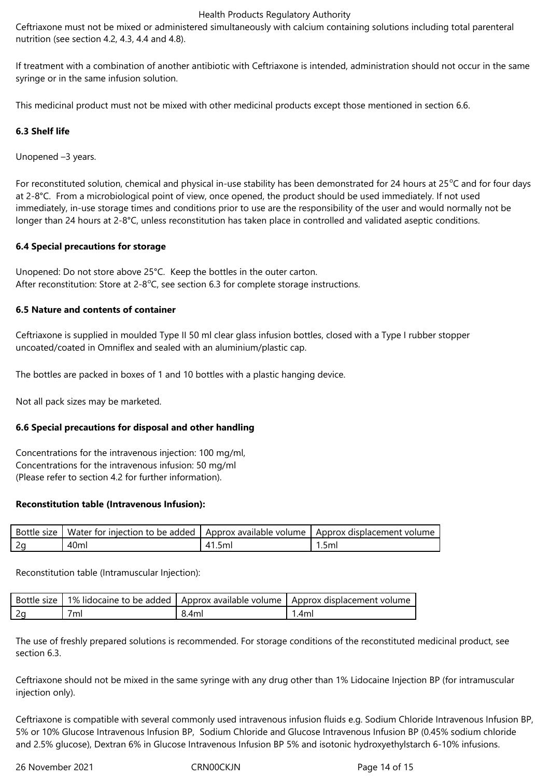Ceftriaxone must not be mixed or administered simultaneously with calcium containing solutions including total parenteral nutrition (see section 4.2, 4.3, 4.4 and 4.8).

If treatment with a combination of another antibiotic with Ceftriaxone is intended, administration should not occur in the same syringe or in the same infusion solution.

This medicinal product must not be mixed with other medicinal products except those mentioned in section 6.6.

## **6.3 Shelf life**

Unopened –3 years.

For reconstituted solution, chemical and physical in-use stability has been demonstrated for 24 hours at 25 $\degree$ C and for four days at 2-8°C. From a microbiological point of view, once opened, the product should be used immediately. If not used immediately, in-use storage times and conditions prior to use are the responsibility of the user and would normally not be longer than 24 hours at 2-8°C, unless reconstitution has taken place in controlled and validated aseptic conditions.

#### **6.4 Special precautions for storage**

Unopened: Do not store above 25°C. Keep the bottles in the outer carton. After reconstitution: Store at  $2-8^{\circ}$ C, see section 6.3 for complete storage instructions.

## **6.5 Nature and contents of container**

Ceftriaxone is supplied in moulded Type II 50 ml clear glass infusion bottles, closed with a Type I rubber stopper uncoated/coated in Omniflex and sealed with an aluminium/plastic cap.

The bottles are packed in boxes of 1 and 10 bottles with a plastic hanging device.

Not all pack sizes may be marketed.

#### **6.6 Special precautions for disposal and other handling**

Concentrations for the intravenous injection: 100 mg/ml, Concentrations for the intravenous infusion: 50 mg/ml (Please refer to section 4.2 for further information).

#### **Reconstitution table (Intravenous Infusion):**

| Bottle size | Water for injection to be added |       | LApprox available volume T Approx displacement volume |
|-------------|---------------------------------|-------|-------------------------------------------------------|
|             | 40ml                            | ۔ اmد | l.5ml                                                 |

Reconstitution table (Intramuscular Injection):

|     |       | Bottle size   1% lidocaine to be added   Approx available volume   Approx displacement volume |
|-----|-------|-----------------------------------------------------------------------------------------------|
| 7ml | 8.4ml | .4ml                                                                                          |

The use of freshly prepared solutions is recommended. For storage conditions of the reconstituted medicinal product, see section 6.3.

Ceftriaxone should not be mixed in the same syringe with any drug other than 1% Lidocaine Injection BP (for intramuscular injection only).

Ceftriaxone is compatible with several commonly used intravenous infusion fluids e.g. Sodium Chloride Intravenous Infusion BP, 5% or 10% Glucose Intravenous Infusion BP, Sodium Chloride and Glucose Intravenous Infusion BP (0.45% sodium chloride and 2.5% glucose), Dextran 6% in Glucose Intravenous Infusion BP 5% and isotonic hydroxyethylstarch 6-10% infusions.

26 November 2021 CRN00CKJN Page 14 of 15